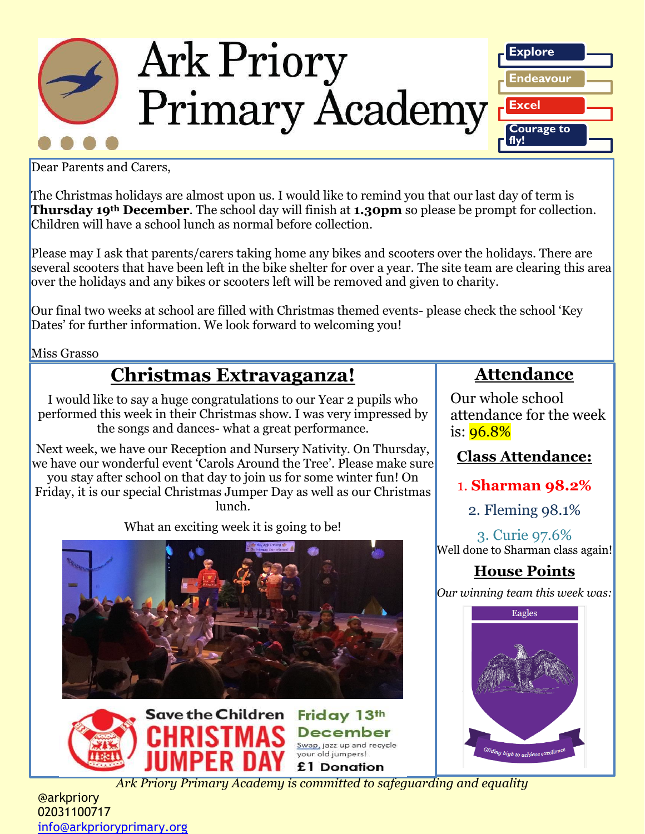

**Explore Endeavour Excel Courage to fly!**

Dear Parents and Carers,

The Christmas holidays are almost upon us. I would like to remind you that our last day of term is **Thursday 19th December**. The school day will finish at **1.30pm** so please be prompt for collection. Children will have a school lunch as normal before collection.

Please may I ask that parents/carers taking home any bikes and scooters over the holidays. There are several scooters that have been left in the bike shelter for over a year. The site team are clearing this area over the holidays and any bikes or scooters left will be removed and given to charity.

Our final two weeks at school are filled with Christmas themed events- please check the school 'Key Dates' for further information. We look forward to welcoming you!

Miss Grasso

## **Christmas Extravaganza!**

I would like to say a huge congratulations to our Year 2 pupils who performed this week in their Christmas show. I was very impressed by the songs and dances- what a great performance.

Next week, we have our Reception and Nursery Nativity. On Thursday, we have our wonderful event 'Carols Around the Tree'. Please make sure you stay after school on that day to join us for some winter fun! On

Friday, it is our special Christmas Jumper Day as well as our Christmas lunch.

What an exciting week it is going to be!





*Ark Priory Primary Academy is committed to safeguarding and equality* 

## **Attendance**

Our whole school attendance for the week is:  $96.8%$ 

## **Class Attendance:**

1. **Sharman 98.2%**

2. Fleming 98.1%

3. Curie 97.6% Well done to Sharman class again!

## **House Points**

*Our winning team this week was:*



@arkpriory 02031100717 [info@arkprioryprimary.org](mailto:info@arkprioryprimary.org)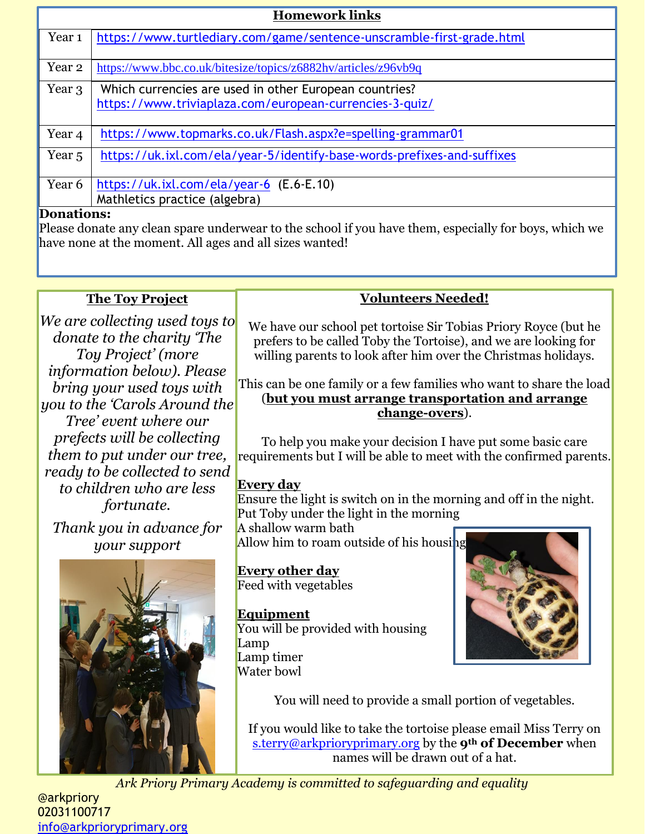| <b>Homework links</b> |                                                                                                                   |  |
|-----------------------|-------------------------------------------------------------------------------------------------------------------|--|
| Year <sub>1</sub>     | https://www.turtlediary.com/game/sentence-unscramble-first-grade.html                                             |  |
| Year 2                | https://www.bbc.co.uk/bitesize/topics/z6882hv/articles/z96vb9q                                                    |  |
| Year 3                | Which currencies are used in other European countries?<br>https://www.triviaplaza.com/european-currencies-3-quiz/ |  |
| Year 4                | https://www.topmarks.co.uk/Flash.aspx?e=spelling-grammar01                                                        |  |
| Year <sub>5</sub>     | https://uk.ixl.com/ela/year-5/identify-base-words-prefixes-and-suffixes                                           |  |
| Year 6                | https://uk.ixl.com/ela/year-6 (E.6-E.10)                                                                          |  |
|                       | Mathletics practice (algebra)                                                                                     |  |
| –<br>- •              |                                                                                                                   |  |

### **Donations:**

Please donate any clean spare underwear to the school if you have them, especially for boys, which we have none at the moment. All ages and all sizes wanted!

### **The Toy Project**

*We are collecting used toys to donate to the charity 'The Toy Project' (more information below). Please bring your used toys with you to the 'Carols Around the Tree' event where our prefects will be collecting them to put under our tree, ready to be collected to send to children who are less fortunate.*

*Thank you in advance for your support*



### **Volunteers Needed!**

We have our school pet tortoise Sir Tobias Priory Royce (but he prefers to be called Toby the Tortoise), and we are looking for willing parents to look after him over the Christmas holidays.

### This can be one family or a few families who want to share the load (**but you must arrange transportation and arrange change-overs**).

To help you make your decision I have put some basic care requirements but I will be able to meet with the confirmed parents.

### **Every day**

Ensure the light is switch on in the morning and off in the night. Put Toby under the light in the morning

A shallow warm bath Allow him to roam outside of his housing

**Every other day** Feed with vegetables

### **Equipment**

You will be provided with housing Lamp Lamp timer Water bowl



You will need to provide a small portion of vegetables.

If you would like to take the tortoise please email Miss Terry on [s.terry@arkprioryprimary.org](mailto:s.terry@arkprioryprimary.org) by the **9th of December** when names will be drawn out of a hat.

*Ark Priory Primary Academy is committed to safeguarding and equality* 

@arkpriory 02031100717 [info@arkprioryprimary.org](mailto:info@arkprioryprimary.org)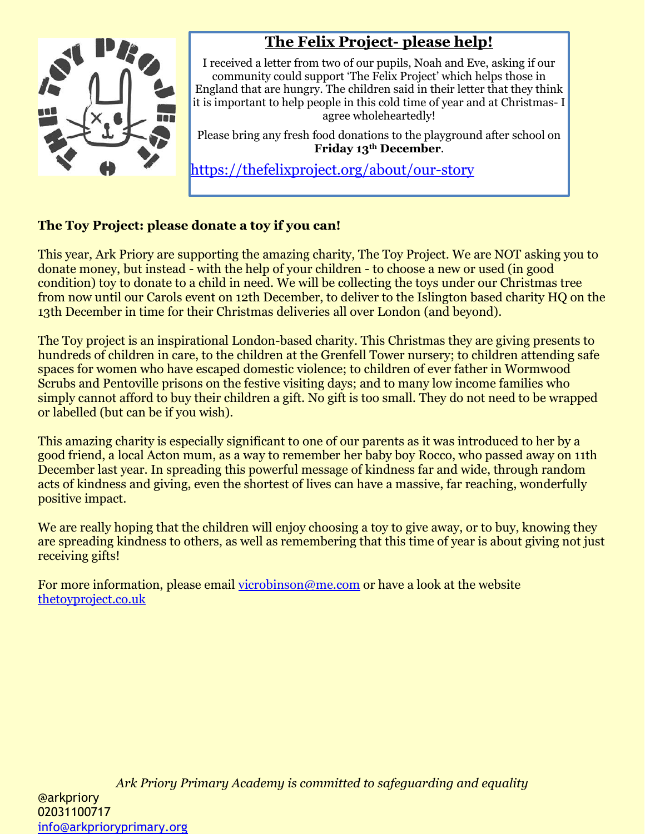

## **The Felix Project- please help!**

I received a letter from two of our pupils, Noah and Eve, asking if our community could support 'The Felix Project' which helps those in England that are hungry. The children said in their letter that they think it is important to help people in this cold time of year and at Christmas- I agree wholeheartedly!

Please bring any fresh food donations to the playground after school on **Friday 13th December**.

<https://thefelixproject.org/about/our-story>

### **The Toy Project: please donate a toy if you can!**

This year, Ark Priory are supporting the amazing charity, The Toy Project. We are NOT asking you to donate money, but instead - with the help of your children - to choose a new or used (in good condition) toy to donate to a child in need. We will be collecting the toys under our Christmas tree from now until our Carols event on 12th December, to deliver to the Islington based charity HQ on the 13th December in time for their Christmas deliveries all over London (and beyond).

The Toy project is an inspirational London-based charity. This Christmas they are giving presents to hundreds of children in care, to the children at the Grenfell Tower nursery; to children attending safe spaces for women who have escaped domestic violence; to children of ever father in Wormwood Scrubs and Pentoville prisons on the festive visiting days; and to many low income families who simply cannot afford to buy their children a gift. No gift is too small. They do not need to be wrapped or labelled (but can be if you wish).

This amazing charity is especially significant to one of our parents as it was introduced to her by a good friend, a local Acton mum, as a way to remember her baby boy Rocco, who passed away on 11th December last year. In spreading this powerful message of kindness far and wide, through random acts of kindness and giving, even the shortest of lives can have a massive, far reaching, wonderfully positive impact.

We are really hoping that the children will enjoy choosing a toy to give away, or to buy, knowing they are spreading kindness to others, as well as remembering that this time of year is about giving not just receiving gifts!

For more information, please email [vicrobinson@me.com](mailto:vicrobinson@me.com) or have a look at the website [thetoyproject.co.uk](http://thetoyproject.co.uk/)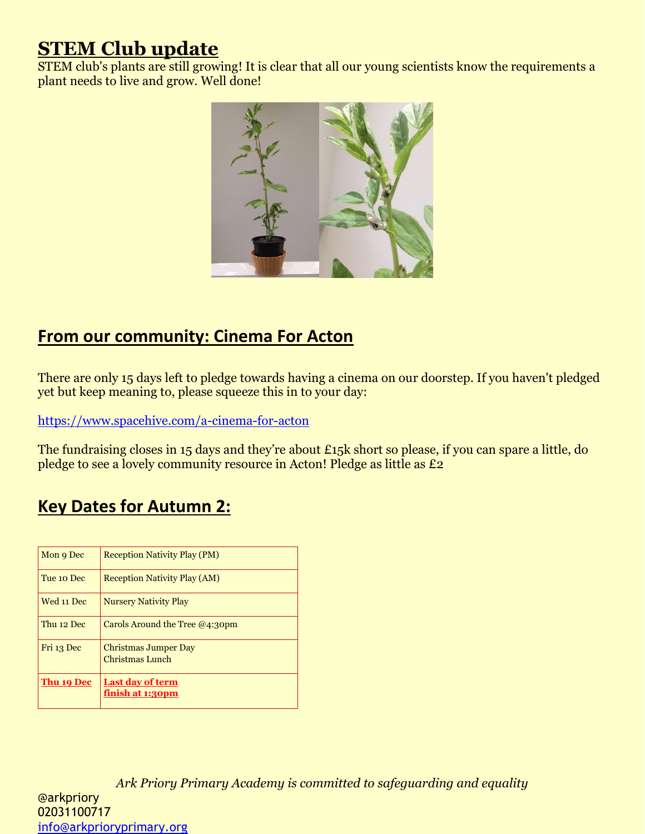## **STEM Club update**

STEM club's plants are still growing! It is clear that all our young scientists know the requirements a plant needs to live and grow. Well done!



## **From our community: Cinema For Acton**

There are only 15 days left to pledge towards having a cinema on our doorstep. If you haven't pledged yet but keep meaning to, please squeeze this in to your day:

<https://www.spacehive.com/a-cinema-for-acton>

The fundraising closes in 15 days and they're about £15k short so please, if you can spare a little, do pledge to see a lovely community resource in Acton! Pledge as little as £2

## **Key Dates for Autumn 2:**

| Mon 9 Dec  | <b>Reception Nativity Play (PM)</b>            |
|------------|------------------------------------------------|
| Tue 10 Dec | <b>Reception Nativity Play (AM)</b>            |
| Wed 11 Dec | <b>Nursery Nativity Play</b>                   |
| Thu 12 Dec | Carols Around the Tree $@4:30$ pm              |
| Fri 13 Dec | <b>Christmas Jumper Day</b><br>Christmas Lunch |
| Thu 19 Dec | <b>Last day of term</b><br>finish at 1:30pm    |

*Ark Priory Primary Academy is committed to safeguarding and equality*  @arkpriory 02031100717 [info@arkprioryprimary.org](mailto:info@arkprioryprimary.org)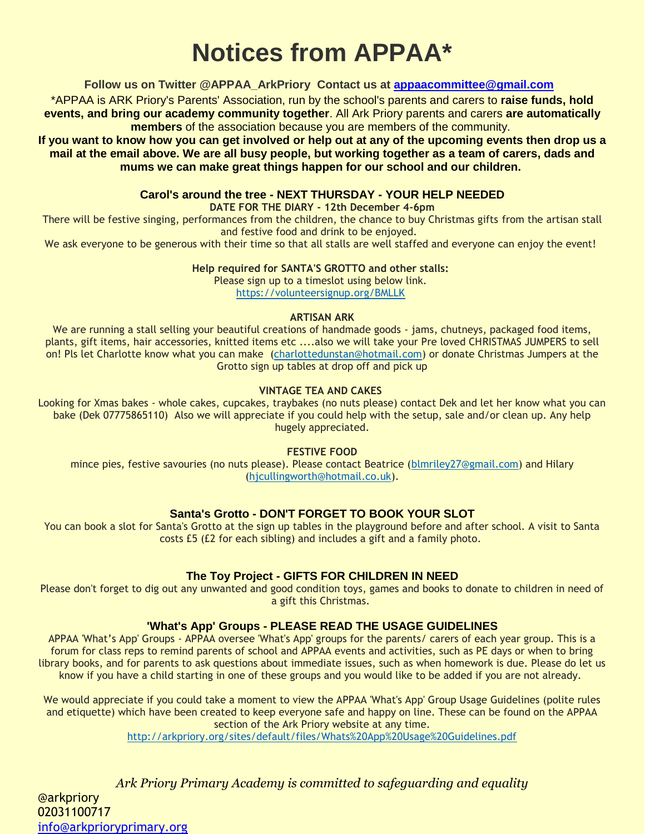# **Notices from APPAA\***

#### **Follow us on Twitter @APPAA\_ArkPriory Contact us at [appaacommittee@gmail.com](mailto:appaacommittee@gmail.com)**

\*APPAA is ARK Priory's Parents' Association, run by the school's parents and carers to **raise funds, hold events, and bring our academy community together**. All Ark Priory parents and carers **are automatically members** of the association because you are members of the community.

**If you want to know how you can get involved or help out at any of the upcoming events then drop us a mail at the email above. We are all busy people, but working together as a team of carers, dads and mums we can make great things happen for our school and our children.**

#### **Carol's around the tree - NEXT THURSDAY - YOUR HELP NEEDED**

**DATE FOR THE DIARY - 12th December 4-6pm**

There will be festive singing, performances from the children, the chance to buy Christmas gifts from the artisan stall and festive food and drink to be enjoyed.

We ask everyone to be generous with their time so that all stalls are well staffed and everyone can enjoy the event!

#### **Help required for SANTA'S GROTTO and other stalls:**

Please sign up to a timeslot using below link. <https://volunteersignup.org/BMLLK>

#### **ARTISAN ARK**

We are running a stall selling your beautiful creations of handmade goods - jams, chutneys, packaged food items, plants, gift items, hair accessories, knitted items etc ....also we will take your Pre loved CHRISTMAS JUMPERS to sell on! Pls let Charlotte know what you can make [\(charlottedunstan@hotmail.com\)](mailto:charlottedunstan@hotmail.com) or donate Christmas Jumpers at the Grotto sign up tables at drop off and pick up

#### **VINTAGE TEA AND CAKES**

Looking for Xmas bakes - whole cakes, cupcakes, traybakes (no nuts please) contact Dek and let her know what you can bake (Dek 07775865110) Also we will appreciate if you could help with the setup, sale and/or clean up. Any help hugely appreciated.

#### **FESTIVE FOOD**

mince pies, festive savouries (no nuts please). Please contact Beatrice [\(blmriley27@gmail.com\)](mailto:blmriley27@gmail.com) and Hilary [\(hjcullingworth@hotmail.co.uk\)](mailto:hjcullingworth@hotmail.co.uk).

### **Santa's Grotto - DON'T FORGET TO BOOK YOUR SLOT**

You can book a slot for Santa's Grotto at the sign up tables in the playground before and after school. A visit to Santa costs £5 (£2 for each sibling) and includes a gift and a family photo.

### **The Toy Project - GIFTS FOR CHILDREN IN NEED**

Please don't forget to dig out any unwanted and good condition toys, games and books to donate to children in need of a gift this Christmas.

### **'What's App' Groups - PLEASE READ THE USAGE GUIDELINES**

APPAA 'What's App' Groups - APPAA oversee 'What's App' groups for the parents/ carers of each year group. This is a forum for class reps to remind parents of school and APPAA events and activities, such as PE days or when to bring library books, and for parents to ask questions about immediate issues, such as when homework is due. Please do let us know if you have a child starting in one of these groups and you would like to be added if you are not already.

We would appreciate if you could take a moment to view the APPAA 'What's App' Group Usage Guidelines (polite rules and etiquette) which have been created to keep everyone safe and happy on line. These can be found on the APPAA section of the Ark Priory website at any time.

<http://arkpriory.org/sites/default/files/Whats%20App%20Usage%20Guidelines.pdf>

*Ark Priory Primary Academy is committed to safeguarding and equality*  @arkpriory 02031100717 [info@arkprioryprimary.org](mailto:info@arkprioryprimary.org)